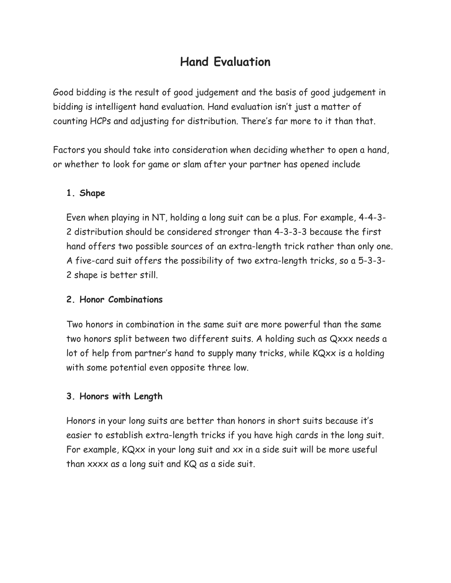# **Hand Evaluation**

Good bidding is the result of good judgement and the basis of good judgement in bidding is intelligent hand evaluation. Hand evaluation isn't just a matter of counting HCPs and adjusting for distribution. There's far more to it than that.

Factors you should take into consideration when deciding whether to open a hand, or whether to look for game or slam after your partner has opened include

## **1. Shape**

Even when playing in NT, holding a long suit can be a plus. For example, 4-4-3- 2 distribution should be considered stronger than 4-3-3-3 because the first hand offers two possible sources of an extra-length trick rather than only one. A five-card suit offers the possibility of two extra-length tricks, so a 5-3-3- 2 shape is better still.

#### **2. Honor Combinations**

Two honors in combination in the same suit are more powerful than the same two honors split between two different suits. A holding such as Qxxx needs a lot of help from partner's hand to supply many tricks, while KQxx is a holding with some potential even opposite three low.

## **3. Honors with Length**

Honors in your long suits are better than honors in short suits because it's easier to establish extra-length tricks if you have high cards in the long suit. For example, KQxx in your long suit and xx in a side suit will be more useful than xxxx as a long suit and KQ as a side suit.